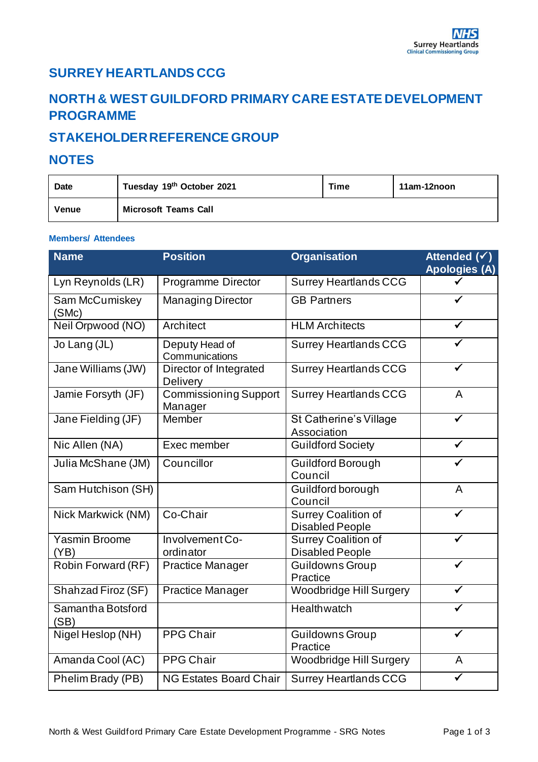### **SURREY HEARTLANDS CCG**

# **NORTH & WEST GUILDFORD PRIMARY CARE ESTATE DEVELOPMENT PROGRAMME**

## **STAKEHOLDER REFERENCE GROUP**

#### **NOTES**

| <b>Date</b> | Tuesday 19th October 2021   | Time | 11am-12noon |
|-------------|-----------------------------|------|-------------|
| Venue       | <b>Microsoft Teams Call</b> |      |             |

#### **Members/ Attendees**

| <b>Name</b>                  | <b>Position</b>                         | <b>Organisation</b>                                  | Attended $(\checkmark)$<br><b>Apologies (A)</b> |
|------------------------------|-----------------------------------------|------------------------------------------------------|-------------------------------------------------|
| Lyn Reynolds (LR)            | Programme Director                      | <b>Surrey Heartlands CCG</b>                         |                                                 |
| Sam McCumiskey<br>(SMc)      | <b>Managing Director</b>                | <b>GB Partners</b>                                   |                                                 |
| Neil Orpwood (NO)            | Architect                               | <b>HLM</b> Architects                                |                                                 |
| Jo Lang (JL)                 | Deputy Head of<br>Communications        | <b>Surrey Heartlands CCG</b>                         |                                                 |
| Jane Williams (JW)           | Director of Integrated<br>Delivery      | <b>Surrey Heartlands CCG</b>                         |                                                 |
| Jamie Forsyth (JF)           | <b>Commissioning Support</b><br>Manager | <b>Surrey Heartlands CCG</b>                         | A                                               |
| Jane Fielding (JF)           | <b>Member</b>                           | St Catherine's Village<br>Association                |                                                 |
| Nic Allen (NA)               | Exec member                             | <b>Guildford Society</b>                             |                                                 |
| Julia McShane (JM)           | Councillor                              | <b>Guildford Borough</b><br>Council                  |                                                 |
| Sam Hutchison (SH)           |                                         | Guildford borough<br>Council                         | A                                               |
| Nick Markwick (NM)           | Co-Chair                                | <b>Surrey Coalition of</b><br><b>Disabled People</b> |                                                 |
| <b>Yasmin Broome</b><br>(YB) | Involvement Co-<br>ordinator            | <b>Surrey Coalition of</b><br><b>Disabled People</b> |                                                 |
| Robin Forward (RF)           | <b>Practice Manager</b>                 | <b>Guildowns Group</b><br>Practice                   |                                                 |
| Shahzad Firoz (SF)           | <b>Practice Manager</b>                 | <b>Woodbridge Hill Surgery</b>                       |                                                 |
| Samantha Botsford<br>(SB)    |                                         | <b>Healthwatch</b>                                   |                                                 |
| Nigel Heslop (NH)            | <b>PPG Chair</b>                        | <b>Guildowns Group</b><br>Practice                   |                                                 |
| Amanda Cool (AC)             | <b>PPG Chair</b>                        | Woodbridge Hill Surgery                              | A                                               |
| Phelim Brady (PB)            | <b>NG Estates Board Chair</b>           | <b>Surrey Heartlands CCG</b>                         |                                                 |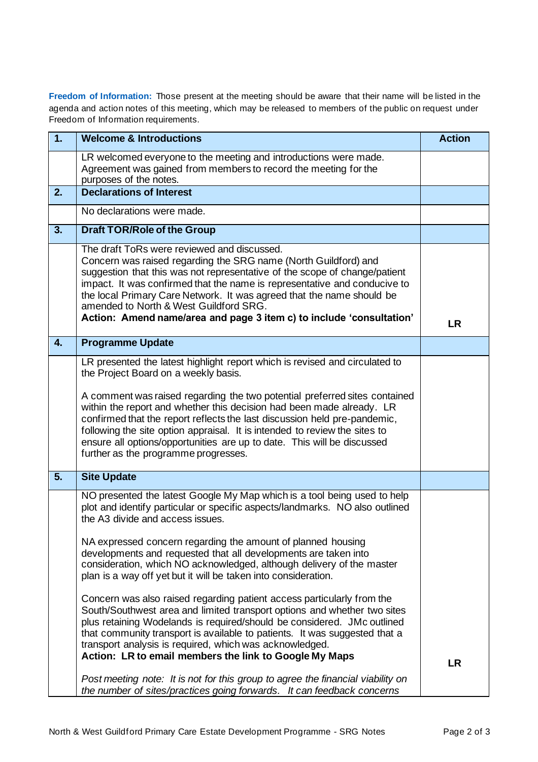**Freedom of Information:** Those present at the meeting should be aware that their name will be listed in the agenda and action notes of this meeting, which may be released to members of the public on request under Freedom of Information requirements.

| 1.               | <b>Welcome &amp; Introductions</b>                                                                                                                                                                                                                                                                                                                                                                                                                                                                                                                                                                                                                                                                                                                                                                                                                   | <b>Action</b> |
|------------------|------------------------------------------------------------------------------------------------------------------------------------------------------------------------------------------------------------------------------------------------------------------------------------------------------------------------------------------------------------------------------------------------------------------------------------------------------------------------------------------------------------------------------------------------------------------------------------------------------------------------------------------------------------------------------------------------------------------------------------------------------------------------------------------------------------------------------------------------------|---------------|
|                  | LR welcomed everyone to the meeting and introductions were made.<br>Agreement was gained from members to record the meeting for the<br>purposes of the notes.                                                                                                                                                                                                                                                                                                                                                                                                                                                                                                                                                                                                                                                                                        |               |
| 2.               | <b>Declarations of Interest</b>                                                                                                                                                                                                                                                                                                                                                                                                                                                                                                                                                                                                                                                                                                                                                                                                                      |               |
|                  | No declarations were made.                                                                                                                                                                                                                                                                                                                                                                                                                                                                                                                                                                                                                                                                                                                                                                                                                           |               |
| 3.               | <b>Draft TOR/Role of the Group</b>                                                                                                                                                                                                                                                                                                                                                                                                                                                                                                                                                                                                                                                                                                                                                                                                                   |               |
|                  | The draft ToRs were reviewed and discussed.<br>Concern was raised regarding the SRG name (North Guildford) and<br>suggestion that this was not representative of the scope of change/patient<br>impact. It was confirmed that the name is representative and conducive to<br>the local Primary Care Network. It was agreed that the name should be<br>amended to North & West Guildford SRG.<br>Action: Amend name/area and page 3 item c) to include 'consultation'                                                                                                                                                                                                                                                                                                                                                                                 | <b>LR</b>     |
| $\overline{4}$ . | <b>Programme Update</b>                                                                                                                                                                                                                                                                                                                                                                                                                                                                                                                                                                                                                                                                                                                                                                                                                              |               |
|                  | LR presented the latest highlight report which is revised and circulated to<br>the Project Board on a weekly basis.<br>A comment was raised regarding the two potential preferred sites contained<br>within the report and whether this decision had been made already. LR<br>confirmed that the report reflects the last discussion held pre-pandemic,<br>following the site option appraisal. It is intended to review the sites to<br>ensure all options/opportunities are up to date. This will be discussed<br>further as the programme progresses.                                                                                                                                                                                                                                                                                             |               |
| 5.               | <b>Site Update</b>                                                                                                                                                                                                                                                                                                                                                                                                                                                                                                                                                                                                                                                                                                                                                                                                                                   |               |
|                  | NO presented the latest Google My Map which is a tool being used to help<br>plot and identify particular or specific aspects/landmarks. NO also outlined<br>the A3 divide and access issues.<br>NA expressed concern regarding the amount of planned housing<br>developments and requested that all developments are taken into<br>consideration, which NO acknowledged, although delivery of the master<br>plan is a way off yet but it will be taken into consideration.<br>Concern was also raised regarding patient access particularly from the<br>South/Southwest area and limited transport options and whether two sites<br>plus retaining Wodelands is required/should be considered. JMc outlined<br>that community transport is available to patients. It was suggested that a<br>transport analysis is required, which was acknowledged. |               |
|                  | Action: LR to email members the link to Google My Maps                                                                                                                                                                                                                                                                                                                                                                                                                                                                                                                                                                                                                                                                                                                                                                                               | <b>LR</b>     |
|                  | Post meeting note: It is not for this group to agree the financial viability on<br>the number of sites/practices going forwards. It can feedback concerns                                                                                                                                                                                                                                                                                                                                                                                                                                                                                                                                                                                                                                                                                            |               |